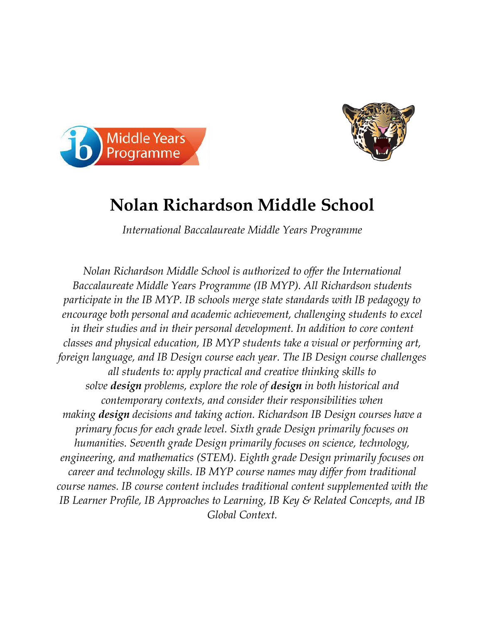



## **Nolan Richardson Middle School**

*International Baccalaureate Middle Years Programme* 

*Nolan Richardson Middle School is authorized to offer the International Baccalaureate Middle Years Programme (IB MYP). All Richardson students participate in the IB MYP. IB schools merge state standards with IB pedagogy to encourage both personal and academic achievement, challenging students to excel in their studies and in their personal development. In addition to core content classes and physical education, IB MYP students take a visual or performing art, foreign language, and IB Design course each year. The IB Design course challenges all students to: apply practical and creative thinking skills to solve design problems, explore the role of design in both historical and contemporary contexts, and consider their responsibilities when making design decisions and taking action. Richardson IB Design courses have a primary focus for each grade level. Sixth grade Design primarily focuses on humanities. Seventh grade Design primarily focuses on science, technology, engineering, and mathematics (STEM). Eighth grade Design primarily focuses on career and technology skills. IB MYP course names may differ from traditional course names. IB course content includes traditional content supplemented with the IB Learner Profile, IB Approaches to Learning, IB Key & Related Concepts, and IB Global Context.*